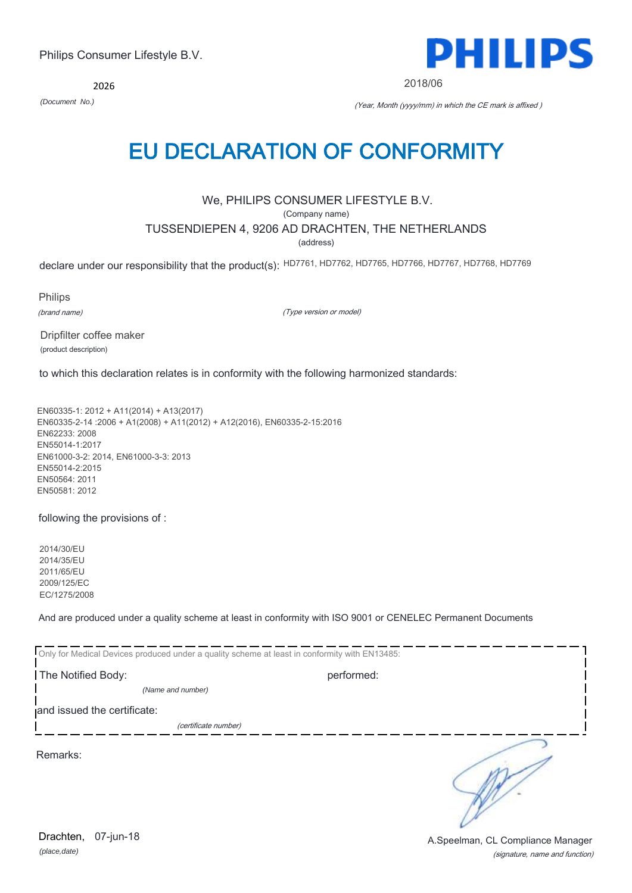*(place,date)* Drachten, 07-jun-18

(signature, name and function) A.Speelman, CL Compliance Manager

2026

*(Document No.)* (Year, Month (yyyy/mm) in which the CE mark is affixed )

EU DECLARATION OF CONFORMITY

We, PHILIPS CONSUMER LIFESTYLE B.V.

(Company name)

TUSSENDIEPEN 4, 9206 AD DRACHTEN, THE NETHERLANDS

(address)

declare under our responsibility that the product(s): HD7761, HD7762, HD7765, HD7766, HD7767, HD7768, HD7769

Philips

(brand name)

(Type version or model)

Dripfilter coffee maker (product description)

to which this declaration relates is in conformity with the following harmonized standards:

EN60335-1: 2012 + A11(2014) + A13(2017) EN60335-2-14 :2006 + A1(2008) + A11(2012) + A12(2016), EN60335-2-15:2016 EN62233: 2008 EN55014-1:2017 EN61000-3-2: 2014, EN61000-3-3: 2013 EN55014-2:2015 EN50564: 2011 EN50581: 2012

following the provisions of :

2014/30/EU 2014/35/EU 2011/65/EU 2009/125/EC EC/1275/2008

And are produced under a quality scheme at least in conformity with ISO 9001 or CENELEC Permanent Documents

| Only for Medical Devices produced under a quality scheme at least in conformity with EN13485: |            |  |
|-----------------------------------------------------------------------------------------------|------------|--|
| The Notified Body:                                                                            | performed: |  |
| (Name and number)                                                                             |            |  |
| and issued the certificate:                                                                   |            |  |
| (certificate number)                                                                          |            |  |
| Remarks:                                                                                      |            |  |

PHILIPS

2018/06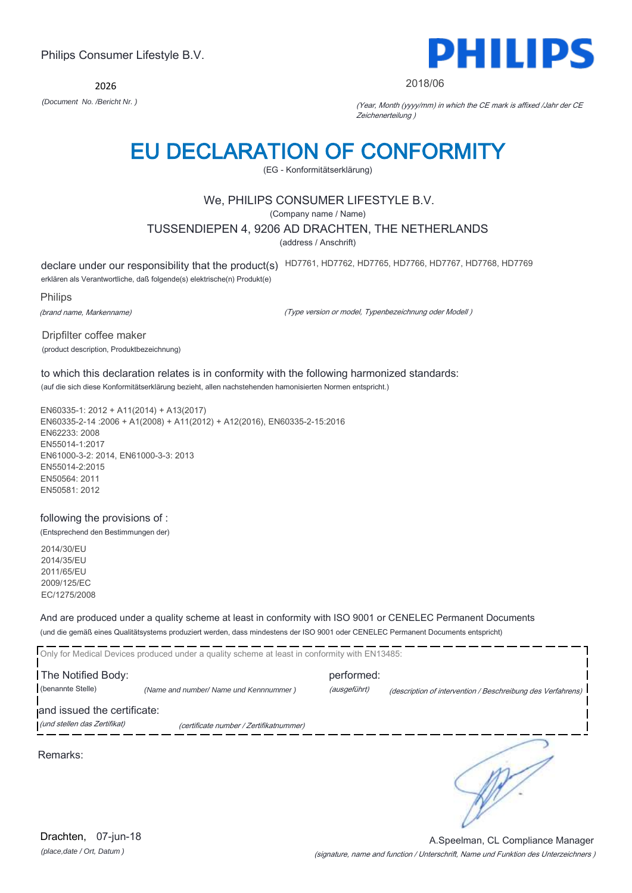2026



#### 2018/06

*(Document No. /Bericht Nr. )* (Year, Month (yyyy/mm) in which the CE mark is affixed /Jahr der CE Zeichenerteilung )

### EU DECLARATION OF CONFORMITY

(EG - Konformitätserklärung)

#### We, PHILIPS CONSUMER LIFESTYLE B.V.

(Company name / Name)

#### TUSSENDIEPEN 4, 9206 AD DRACHTEN, THE NETHERLANDS

(address / Anschrift)

declare under our responsibility that the product(s) HD7761, HD7762, HD7765, HD7766, HD7767, HD7768, HD7769

erklären als Verantwortliche, daß folgende(s) elektrische(n) Produkt(e)

Philips

(brand name, Markenname)

(Type version or model, Typenbezeichnung oder Modell )

Dripfilter coffee maker (product description, Produktbezeichnung)

### to which this declaration relates is in conformity with the following harmonized standards:

(auf die sich diese Konformitätserklärung bezieht, allen nachstehenden hamonisierten Normen entspricht.)

EN60335-1: 2012 + A11(2014) + A13(2017) EN60335-2-14 :2006 + A1(2008) + A11(2012) + A12(2016), EN60335-2-15:2016 EN62233: 2008 EN55014-1:2017 EN61000-3-2: 2014, EN61000-3-3: 2013 EN55014-2:2015 EN50564: 2011 EN50581: 2012

#### following the provisions of :

(Entsprechend den Bestimmungen der)

2014/30/EU 2014/35/EU 2011/65/EU 2009/125/EC EC/1275/2008

#### And are produced under a quality scheme at least in conformity with ISO 9001 or CENELEC Permanent Documents (und die gemäß eines Qualitätsystems produziert werden, dass mindestens der ISO 9001 oder CENELEC Permanent Documents entspricht)

|                                                             | Only for Medical Devices produced under a quality scheme at least in conformity with EN13485: |                            |                                                             |
|-------------------------------------------------------------|-----------------------------------------------------------------------------------------------|----------------------------|-------------------------------------------------------------|
| The Notified Body:<br>(benannte Stelle)                     | (Name and number/ Name und Kennnummer)                                                        | performed:<br>(ausgeführt) | (description of intervention / Beschreibung des Verfahrens) |
| and issued the certificate:<br>(und stellen das Zertifikat) | (certificate number / Zertifikatnummer)                                                       |                            |                                                             |
| Remarks:                                                    |                                                                                               |                            |                                                             |

(signature, name and function / Unterschrift, Name und Funktion des Unterzeichners ) A.Speelman, CL Compliance Manager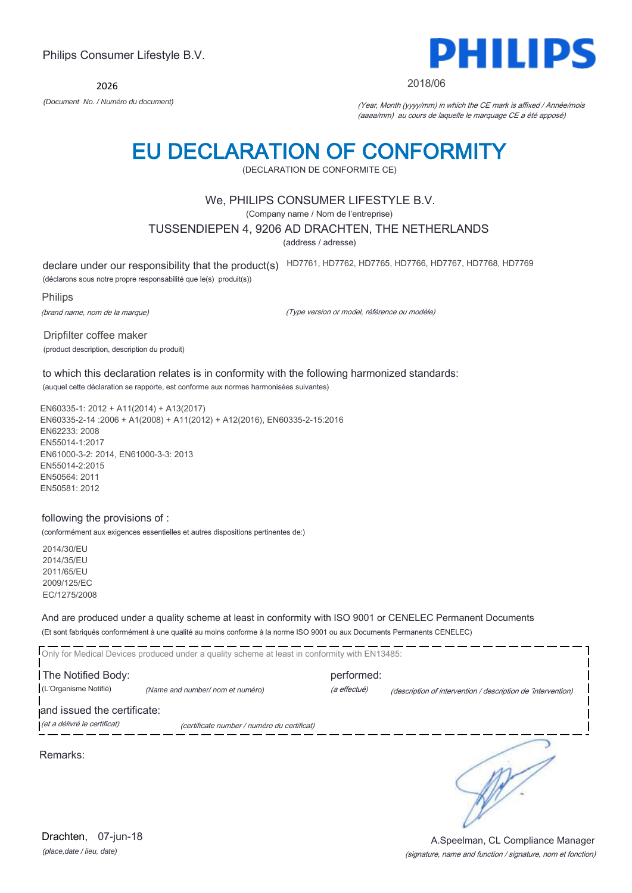2026



#### 2018/06

*(Document No. / Numéro du document)* (Year, Month (yyyy/mm) in which the CE mark is affixed / Année/mois (aaaa/mm) au cours de laquelle le marquage CE a été apposé)

### EU DECLARATION OF CONFORMITY

(DECLARATION DE CONFORMITE CE)

#### We, PHILIPS CONSUMER LIFESTYLE B.V.

(Company name / Nom de l'entreprise)

#### TUSSENDIEPEN 4, 9206 AD DRACHTEN, THE NETHERLANDS

(address / adresse)

declare under our responsibility that the product(s) HD7761, HD7762, HD7765, HD7766, HD7767, HD7768, HD7769

(déclarons sous notre propre responsabilité que le(s) produit(s))

Philips

(brand name, nom de la marque)

(Type version or model, référence ou modèle)

Dripfilter coffee maker (product description, description du produit)

to which this declaration relates is in conformity with the following harmonized standards: (auquel cette déclaration se rapporte, est conforme aux normes harmonisées suivantes)

EN60335-1: 2012 + A11(2014) + A13(2017) EN60335-2-14 :2006 + A1(2008) + A11(2012) + A12(2016), EN60335-2-15:2016 EN62233: 2008 EN55014-1:2017 EN61000-3-2: 2014, EN61000-3-3: 2013 EN55014-2:2015 EN50564: 2011 EN50581: 2012

#### following the provisions of :

(conformément aux exigences essentielles et autres dispositions pertinentes de:)

2014/30/EU 2014/35/EU 2011/65/EU 2009/125/EC EC/1275/2008

And are produced under a quality scheme at least in conformity with ISO 9001 or CENELEC Permanent Documents (Et sont fabriqués conformément à une qualité au moins conforme à la norme ISO 9001 ou aux Documents Permanents CENELEC)

|                                                             | Only for Medical Devices produced under a quality scheme at least in conformity with EN13485: |                            |                                                              |
|-------------------------------------------------------------|-----------------------------------------------------------------------------------------------|----------------------------|--------------------------------------------------------------|
| The Notified Body:<br>(L'Organisme Notifié)                 | (Name and number/nom et numéro)                                                               | performed:<br>(a effectué) | (description of intervention / description de 'intervention) |
| and issued the certificate:<br>(et a délivré le certificat) | (certificate number / numéro du certificat)                                                   |                            |                                                              |
| Remarks:                                                    |                                                                                               |                            |                                                              |

*(place,date / lieu, date)* Drachten, 07-jun-18

#### (signature, name and function / signature, nom et fonction) A.Speelman, CL Compliance Manager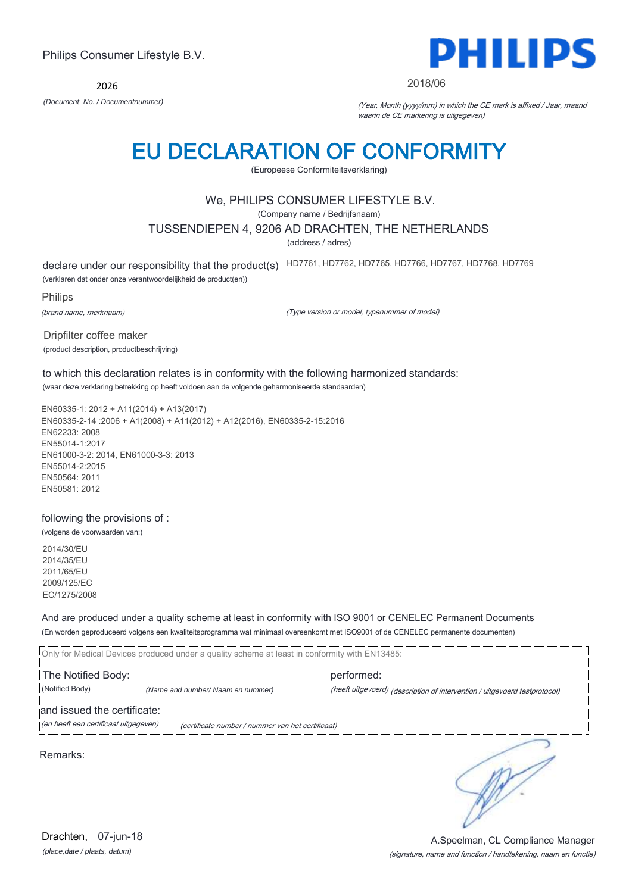2026



*(Document No. / Documentnummer)* (Year, Month (yyyy/mm) in which the CE mark is affixed / Jaar, maand waarin de CE markering is uitgegeven)

2018/06

### EU DECLARATION OF CONFORMITY

(Europeese Conformiteitsverklaring)

#### We, PHILIPS CONSUMER LIFESTYLE B.V.

(Company name / Bedrijfsnaam)

#### TUSSENDIEPEN 4, 9206 AD DRACHTEN, THE NETHERLANDS

(address / adres)

declare under our responsibility that the product(s) HD7761, HD7762, HD7765, HD7766, HD7767, HD7768, HD7769

(verklaren dat onder onze verantwoordelijkheid de product(en))

Philips

(brand name, merknaam)

(Type version or model, typenummer of model)

Dripfilter coffee maker (product description, productbeschrijving)

to which this declaration relates is in conformity with the following harmonized standards: (waar deze verklaring betrekking op heeft voldoen aan de volgende geharmoniseerde standaarden)

EN60335-1: 2012 + A11(2014) + A13(2017) EN60335-2-14 :2006 + A1(2008) + A11(2012) + A12(2016), EN60335-2-15:2016 EN62233: 2008 EN55014-1:2017 EN61000-3-2: 2014, EN61000-3-3: 2013 EN55014-2:2015 EN50564: 2011 EN50581: 2012

#### following the provisions of :

(volgens de voorwaarden van:)

2014/30/EU 2014/35/EU 2011/65/EU 2009/125/EC EC/1275/2008

And are produced under a quality scheme at least in conformity with ISO 9001 or CENELEC Permanent Documents (En worden geproduceerd volgens een kwaliteitsprogramma wat minimaal overeenkomt met ISO9001 of de CENELEC permanente documenten)

Only for Medical Devices produced under a quality scheme at least in conformity with EN13485: The Notified Body: performed: (Notified Body) *(Name and number/ Naam en nummer)* (heeft uitgevoerd) (description of intervention / uitgevoerd testprotocol) and issued the certificate: (en heeft een certificaat uitgegeven) (certificate number / nummer van het certificaat) ∍

Remarks:

PHILII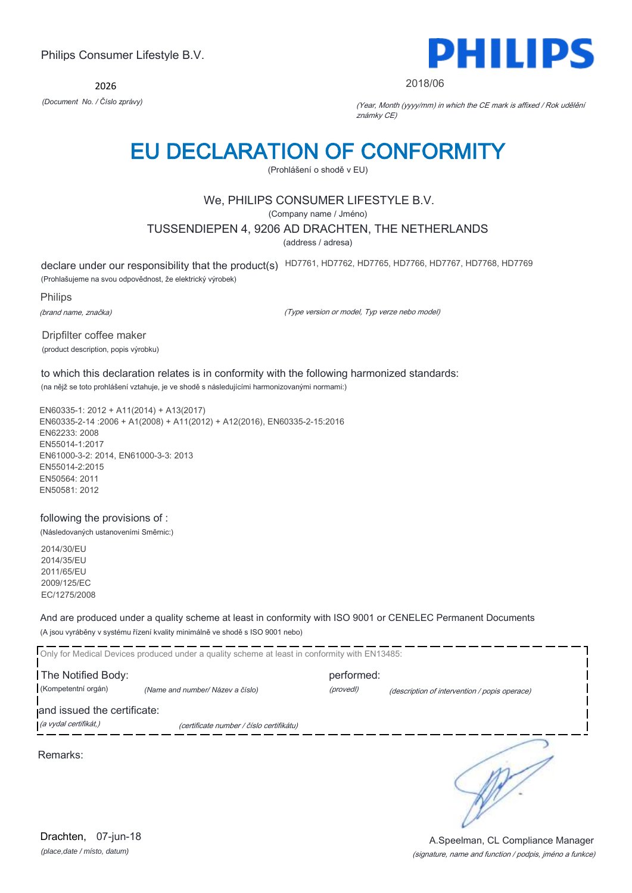2026



#### 2018/06

*(Document No. / Číslo zprávy)* (Year, Month (yyyy/mm) in which the CE mark is affixed / Rok udělění známky CE)

## EU DECLARATION OF CONFORMITY

(Prohlášení o shodě v EU)

#### We, PHILIPS CONSUMER LIFESTYLE B.V.

(Company name / Jméno)

#### TUSSENDIEPEN 4, 9206 AD DRACHTEN, THE NETHERLANDS

(address / adresa)

declare under our responsibility that the product(s) HD7761, HD7762, HD7765, HD7766, HD7767, HD7768, HD7769

(Prohlašujeme na svou odpovědnost, že elektrický výrobek)

Philips

(brand name, značka)

(Type version or model, Typ verze nebo model)

Dripfilter coffee maker (product description, popis výrobku)

### to which this declaration relates is in conformity with the following harmonized standards:

(na nějž se toto prohlášení vztahuje, je ve shodě s následujícími harmonizovanými normami:)

EN60335-1: 2012 + A11(2014) + A13(2017) EN60335-2-14 :2006 + A1(2008) + A11(2012) + A12(2016), EN60335-2-15:2016 EN62233: 2008 EN55014-1:2017 EN61000-3-2: 2014, EN61000-3-3: 2013 EN55014-2:2015 EN50564: 2011 EN50581: 2012

#### following the provisions of :

(Následovaných ustanoveními Směrnic:)

2014/30/EU 2014/35/EU 2011/65/EU 2009/125/EC EC/1275/2008

And are produced under a quality scheme at least in conformity with ISO 9001 or CENELEC Permanent Documents (A jsou vyráběny v systému řízení kvality minimálně ve shodě s ISO 9001 nebo)

|                                                      | Only for Medical Devices produced under a quality scheme at least in conformity with EN13485: |            |                                               |
|------------------------------------------------------|-----------------------------------------------------------------------------------------------|------------|-----------------------------------------------|
| The Notified Body:                                   |                                                                                               | performed: |                                               |
| (Kompetentní orgán)                                  | (Name and number/Název a číslo)                                                               | (provedl)  | (description of intervention / popis operace) |
| and issued the certificate:<br>(a vydal certifikát,) | (certificate number / číslo certifikátu)                                                      |            |                                               |
| Remarks:                                             |                                                                                               |            |                                               |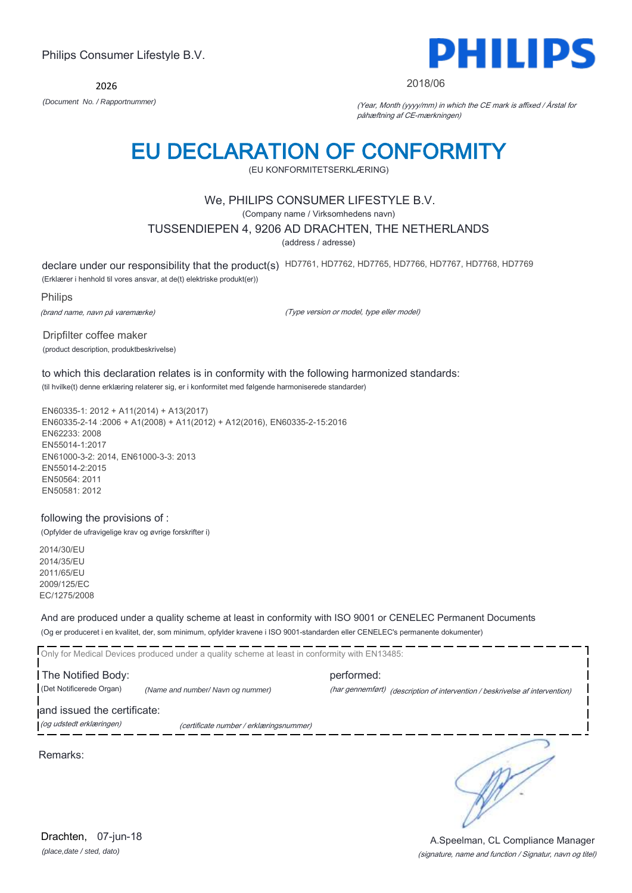2026



#### 2018/06

*(Document No. / Rapportnummer)* (Year, Month (yyyy/mm) in which the CE mark is affixed / Årstal for påhæftning af CE-mærkningen)

### EU DECLARATION OF CONFORMITY

(EU KONFORMITETSERKLÆRING)

#### We, PHILIPS CONSUMER LIFESTYLE B.V.

(Company name / Virksomhedens navn)

#### TUSSENDIEPEN 4, 9206 AD DRACHTEN, THE NETHERLANDS

(address / adresse)

declare under our responsibility that the product(s) HD7761, HD7762, HD7765, HD7766, HD7767, HD7768, HD7769

(Erklærer i henhold til vores ansvar, at de(t) elektriske produkt(er))

Philips

(brand name, navn på varemærke)

(Type version or model, type eller model)

Dripfilter coffee maker (product description, produktbeskrivelse)

to which this declaration relates is in conformity with the following harmonized standards: (til hvilke(t) denne erklæring relaterer sig, er i konformitet med følgende harmoniserede standarder)

EN60335-1: 2012 + A11(2014) + A13(2017) EN60335-2-14 :2006 + A1(2008) + A11(2012) + A12(2016), EN60335-2-15:2016 EN62233: 2008 EN55014-1:2017 EN61000-3-2: 2014, EN61000-3-3: 2013 EN55014-2:2015 EN50564: 2011 EN50581: 2012

#### following the provisions of :

(Opfylder de ufravigelige krav og øvrige forskrifter i)

2014/30/EU 2014/35/EU 2011/65/EU 2009/125/EC EC/1275/2008

And are produced under a quality scheme at least in conformity with ISO 9001 or CENELEC Permanent Documents (Og er produceret i en kvalitet, der, som minimum, opfylder kravene i ISO 9001-standarden eller CENELEC's permanente dokumenter)

Only for Medical Devices produced under a quality scheme at least in conformity with EN13485: The Notified Body: example and the performed: (Det Notificerede Organ) *(Name and number/ Navn og nummer)* (har gennemført) (description of intervention / beskrivelse af intervention) and issued the certificate: (og udstedt erklæringen) (certificate number / erklæringsnummer)

Remarks:

∍

*(place,date / sted, dato)* Drachten, 07-jun-18

#### (signature, name and function / Signatur, navn og titel) A.Speelman, CL Compliance Manager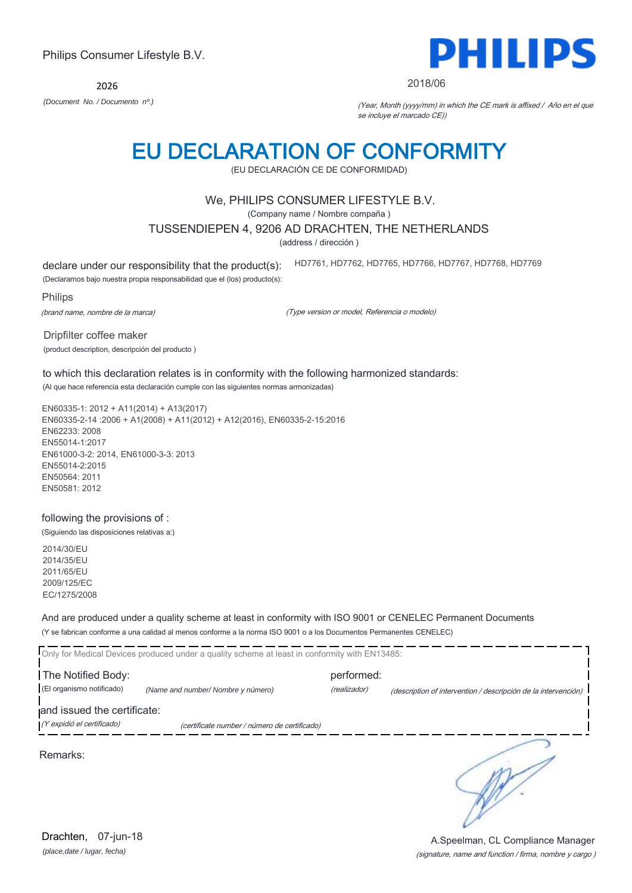2026

### EU DECLARATION OF CONFORMITY

(EU DECLARACIÓN CE DE CONFORMIDAD)

#### We, PHILIPS CONSUMER LIFESTYLE B.V.

(Company name / Nombre compaña )

#### TUSSENDIEPEN 4, 9206 AD DRACHTEN, THE NETHERLANDS

(address / dirección )

declare under our responsibility that the product(s):

HD7761, HD7762, HD7765, HD7766, HD7767, HD7768, HD7769

(Declaramos bajo nuestra propia responsabilidad que el (los) producto(s):

Philips

(brand name, nombre de la marca)

(Type version or model, Referencia o modelo)

Dripfilter coffee maker

(product description, descripción del producto )

### to which this declaration relates is in conformity with the following harmonized standards:

(Al que hace referencia esta declaración cumple con las siguientes normas armonizadas)

EN60335-1: 2012 + A11(2014) + A13(2017) EN60335-2-14 :2006 + A1(2008) + A11(2012) + A12(2016), EN60335-2-15:2016 EN62233: 2008 EN55014-1:2017 EN61000-3-2: 2014, EN61000-3-3: 2013 EN55014-2:2015 EN50564: 2011 EN50581: 2012

#### following the provisions of :

(Siguiendo las disposiciones relativas a:)

2014/30/EU 2014/35/EU 2011/65/EU 2009/125/EC EC/1275/2008

And are produced under a quality scheme at least in conformity with ISO 9001 or CENELEC Permanent Documents (Y se fabrican conforme a una calidad al menos conforme a la norma ISO 9001 o a los Documentos Permanentes CENELEC)

|                             | Only for Medical Devices produced under a quality scheme at least in conformity with EN13485: |              |                                                                |
|-----------------------------|-----------------------------------------------------------------------------------------------|--------------|----------------------------------------------------------------|
| The Notified Body:          |                                                                                               | performed:   |                                                                |
| (El organismo notificado)   | (Name and number/ Nombre y número)                                                            | (realizador) | (description of intervention / descripción de la intervención) |
| and issued the certificate: |                                                                                               |              |                                                                |
| (Y expidió el certificado)  | (certificate number / número de certificado)                                                  |              |                                                                |
| Remarks:                    |                                                                                               |              |                                                                |

 $\frac{1}{2} \frac{1}{2} \frac{1}{2} \frac{1}{2} \frac{1}{2} \frac{1}{2} \frac{1}{2} \frac{1}{2} \frac{1}{2} \frac{1}{2} \frac{1}{2} \frac{1}{2} \frac{1}{2} \frac{1}{2} \frac{1}{2} \frac{1}{2} \frac{1}{2} \frac{1}{2} \frac{1}{2} \frac{1}{2} \frac{1}{2} \frac{1}{2} \frac{1}{2} \frac{1}{2} \frac{1}{2} \frac{1}{2} \frac{1}{2} \frac{1}{2} \frac{1}{2} \frac{1}{2} \frac{1}{2} \frac{$ 

 $\overline{\phantom{a}}$ 



#### 2018/06

*(Document No. / Documento nº.)* (Year, Month (yyyy/mm) in which the CE mark is affixed / Año en el que se incluye el marcado CE))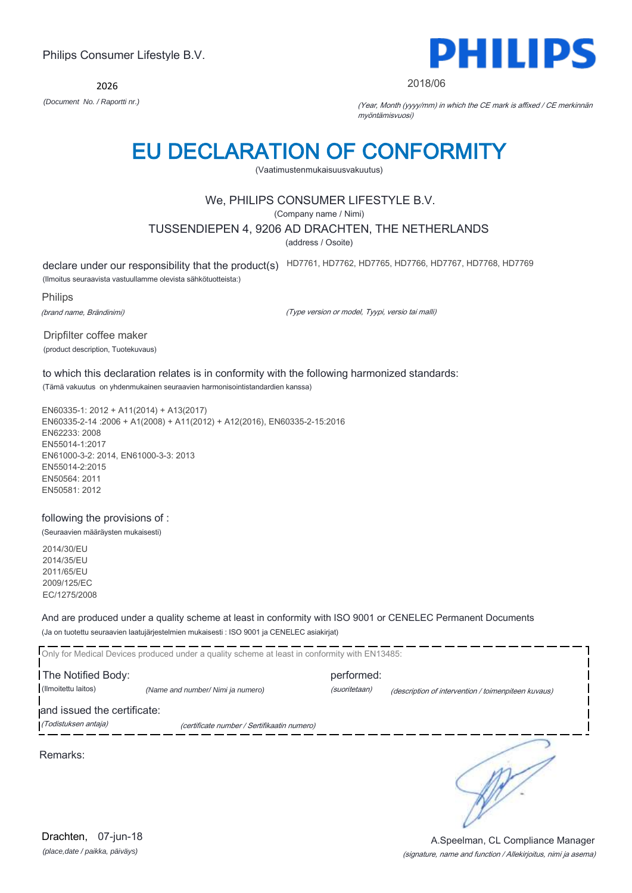2026



#### 2018/06

*(Document No. / Raportti nr.)* (Year, Month (yyyy/mm) in which the CE mark is affixed / CE merkinnän myöntämisvuosi)

### EU DECLARATION OF CONFORMITY

(Vaatimustenmukaisuusvakuutus)

#### We, PHILIPS CONSUMER LIFESTYLE B.V.

(Company name / Nimi)

#### TUSSENDIEPEN 4, 9206 AD DRACHTEN, THE NETHERLANDS

(address / Osoite)

declare under our responsibility that the product(s) HD7761, HD7762, HD7765, HD7766, HD7767, HD7768, HD7769

(Ilmoitus seuraavista vastuullamme olevista sähkötuotteista:)

Philips

(brand name, Brändinimi)

(Type version or model, Tyypi, versio tai malli)

Dripfilter coffee maker (product description, Tuotekuvaus)

to which this declaration relates is in conformity with the following harmonized standards:

(Tämä vakuutus on yhdenmukainen seuraavien harmonisointistandardien kanssa)

EN60335-1: 2012 + A11(2014) + A13(2017) EN60335-2-14 :2006 + A1(2008) + A11(2012) + A12(2016), EN60335-2-15:2016 EN62233: 2008 EN55014-1:2017 EN61000-3-2: 2014, EN61000-3-3: 2013 EN55014-2:2015 EN50564: 2011 EN50581: 2012

following the provisions of :

(Seuraavien määräysten mukaisesti)

2014/30/EU 2014/35/EU 2011/65/EU 2009/125/EC EC/1275/2008

And are produced under a quality scheme at least in conformity with ISO 9001 or CENELEC Permanent Documents (Ja on tuotettu seuraavien laatujärjestelmien mukaisesti : ISO 9001 ja CENELEC asiakirjat)

|                                                     | Only for Medical Devices produced under a quality scheme at least in conformity with EN13485: |                             |                                                     |
|-----------------------------------------------------|-----------------------------------------------------------------------------------------------|-----------------------------|-----------------------------------------------------|
| The Notified Body:<br>(Ilmoitettu laitos)           | (Name and number/ Nimi ja numero)                                                             | performed:<br>(suoritetaan) | (description of intervention / toimenpiteen kuvaus) |
| and issued the certificate:<br>(Todistuksen antaja) | (certificate number / Sertifikaatin numero)                                                   |                             |                                                     |
| Remarks:                                            |                                                                                               |                             |                                                     |

*(place,date / paikka, päiväys)* Drachten, 07-jun-18

#### (signature, name and function / Allekirjoitus, nimi ja asema) A.Speelman, CL Compliance Manager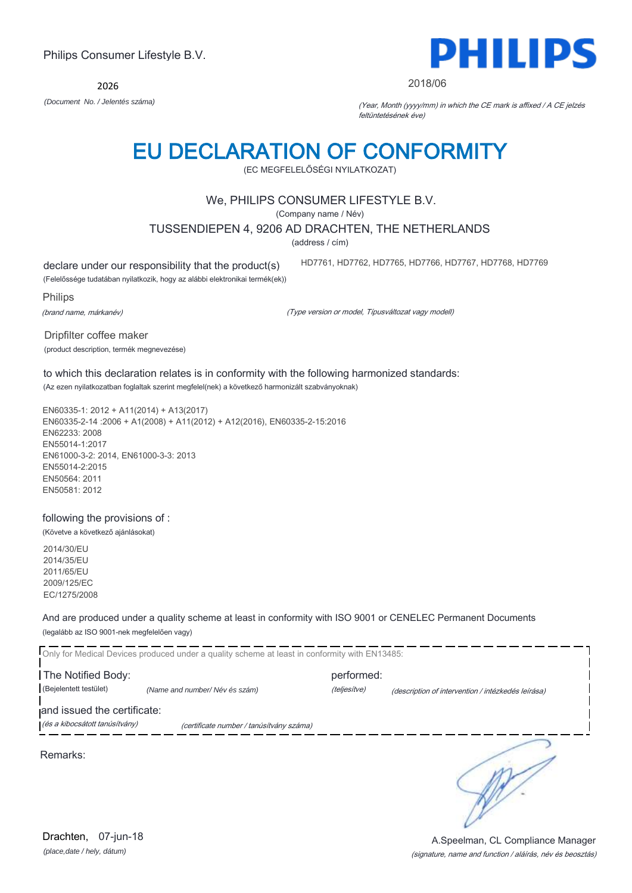2026 *(Document No. / Jelentés száma)* (Year, Month (yyyy/mm) in which the CE mark is affixed / A CE jelzés

### EU DECLARATION OF CONFORMITY

(EC MEGFELELŐSÉGI NYILATKOZAT)

#### We, PHILIPS CONSUMER LIFESTYLE B.V.

(Company name / Név)

TUSSENDIEPEN 4, 9206 AD DRACHTEN, THE NETHERLANDS

(address / cím)

declare under our responsibility that the product(s)

(Felelőssége tudatában nyilatkozik, hogy az alábbi elektronikai termék(ek))

Philips

(brand name, márkanév)

(Type version or model, Típusváltozat vagy modell)

Dripfilter coffee maker (product description, termék megnevezése)

#### to which this declaration relates is in conformity with the following harmonized standards: (Az ezen nyilatkozatban foglaltak szerint megfelel(nek) a következő harmonizált szabványoknak)

EN60335-1: 2012 + A11(2014) + A13(2017) EN60335-2-14 :2006 + A1(2008) + A11(2012) + A12(2016), EN60335-2-15:2016 EN62233: 2008 EN55014-1:2017 EN61000-3-2: 2014, EN61000-3-3: 2013 EN55014-2:2015 EN50564: 2011 EN50581: 2012

#### following the provisions of :

(Követve a következő ajánlásokat)

2014/30/EU 2014/35/EU 2011/65/EU 2009/125/EC EC/1275/2008

#### And are produced under a quality scheme at least in conformity with ISO 9001 or CENELEC Permanent Documents (legalább az ISO 9001-nek megfelelően vagy)

|                                | Only for Medical Devices produced under a quality scheme at least in conformity with EN13485: |              |                                                    |
|--------------------------------|-----------------------------------------------------------------------------------------------|--------------|----------------------------------------------------|
| The Notified Body:             |                                                                                               | performed:   |                                                    |
| (Bejelentett testület)         | (Name and number/Név és szám)                                                                 | (teljesítve) | (description of intervention / intézkedés leírása) |
| and issued the certificate:    |                                                                                               |              |                                                    |
| (és a kibocsátott tanúsítvány) | (certificate number / tanúsítvány száma)                                                      |              |                                                    |
| Remarks:                       |                                                                                               |              |                                                    |



#### 2018/06

HD7761, HD7762, HD7765, HD7766, HD7767, HD7768, HD7769

feltüntetésének éve)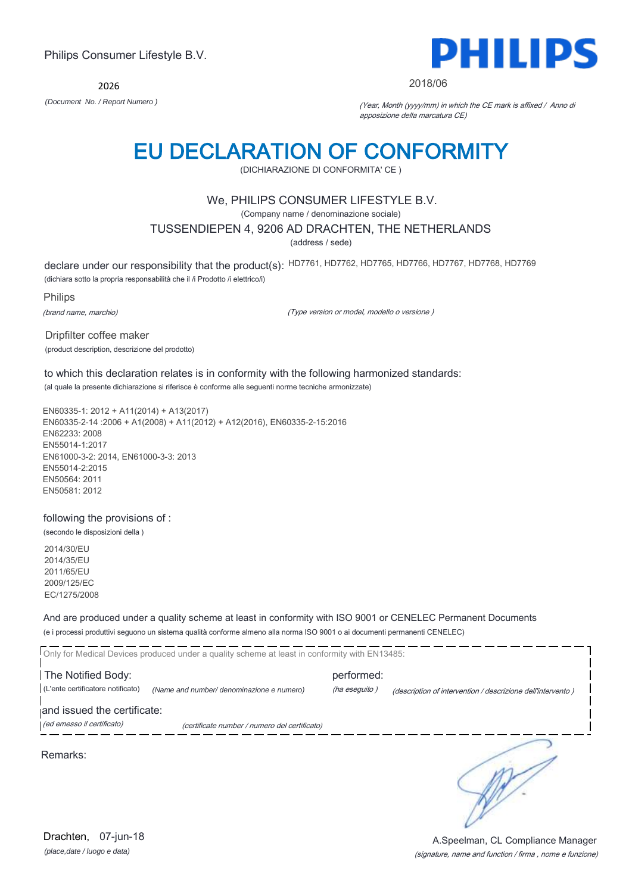2026



#### 2018/06

*(Document No. / Report Numero )* (Year, Month (yyyy/mm) in which the CE mark is affixed / Anno di apposizione della marcatura CE)

# EU DECLARATION OF CONFORMITY

(DICHIARAZIONE DI CONFORMITA' CE )

#### We, PHILIPS CONSUMER LIFESTYLE B.V.

(Company name / denominazione sociale)

#### TUSSENDIEPEN 4, 9206 AD DRACHTEN, THE NETHERLANDS

(address / sede)

declare under our responsibility that the product(s): HD7761, HD7762, HD7765, HD7766, HD7767, HD7768, HD7769

(dichiara sotto la propria responsabilità che il /i Prodotto /i elettrico/i)

Philips

(brand name, marchio)

(Type version or model, modello o versione )

Dripfilter coffee maker (product description, descrizione del prodotto)

### to which this declaration relates is in conformity with the following harmonized standards:

(al quale la presente dichiarazione si riferisce è conforme alle seguenti norme tecniche armonizzate)

EN60335-1: 2012 + A11(2014) + A13(2017) EN60335-2-14 :2006 + A1(2008) + A11(2012) + A12(2016), EN60335-2-15:2016 EN62233: 2008 EN55014-1:2017 EN61000-3-2: 2014, EN61000-3-3: 2013 EN55014-2:2015 EN50564: 2011 EN50581: 2012

#### following the provisions of :

(secondo le disposizioni della ) 2014/30/EU

2014/35/EU 2011/65/EU 2009/125/EC EC/1275/2008

And are produced under a quality scheme at least in conformity with ISO 9001 or CENELEC Permanent Documents (e i processi produttivi seguono un sistema qualità conforme almeno alla norma ISO 9001 o ai documenti permanenti CENELEC)

|                                                           | Only for Medical Devices produced under a quality scheme at least in conformity with EN13485: |                             |                                                             |
|-----------------------------------------------------------|-----------------------------------------------------------------------------------------------|-----------------------------|-------------------------------------------------------------|
| The Notified Body:<br>(L'ente certificatore notificato)   | (Name and number/ denominazione e numero)                                                     | performed:<br>(ha eseguito) | (description of intervention / descrizione dell'intervento) |
| and issued the certificate:<br>(ed emesso il certificato) | (certificate number / numero del certificato)                                                 |                             |                                                             |
| Remarks:                                                  |                                                                                               |                             |                                                             |

*(place,date / luogo e data)* Drachten, 07-jun-18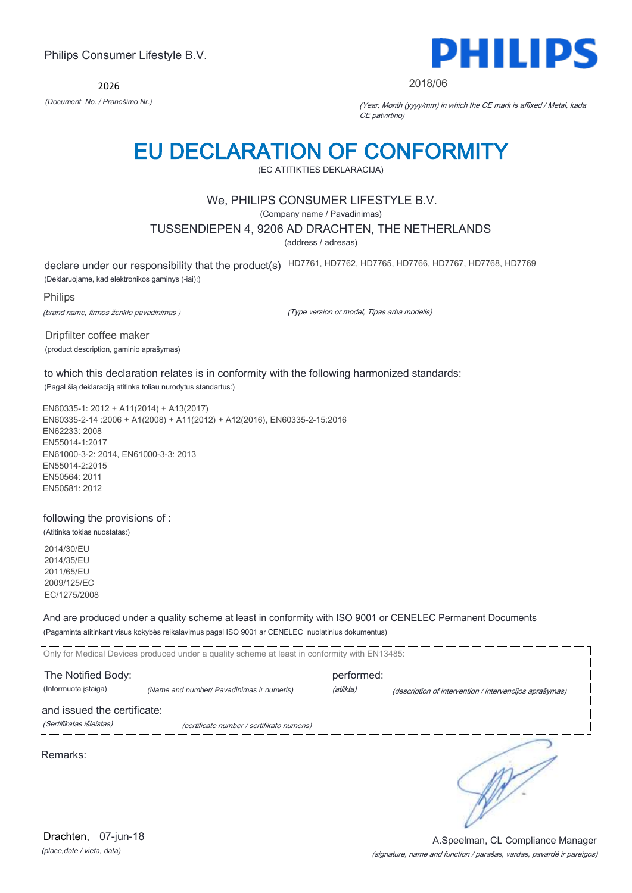2026



#### 2018/06

*(Document No. / Pranešimo Nr.)* (Year, Month (yyyy/mm) in which the CE mark is affixed / Metai, kada CE patvirtino)

## EU DECLARATION OF CONFORMITY

(EC ATITIKTIES DEKLARACIJA)

#### We, PHILIPS CONSUMER LIFESTYLE B.V.

(Company name / Pavadinimas)

#### TUSSENDIEPEN 4, 9206 AD DRACHTEN, THE NETHERLANDS

(address / adresas)

declare under our responsibility that the product(s) HD7761, HD7762, HD7765, HD7766, HD7767, HD7768, HD7769

(Deklaruojame, kad elektronikos gaminys (-iai):)

Philips

(brand name, firmos ženklo pavadinimas )

(Type version or model, Tipas arba modelis)

Dripfilter coffee maker (product description, gaminio aprašymas)

to which this declaration relates is in conformity with the following harmonized standards:

(Pagal šią deklaraciją atitinka toliau nurodytus standartus:)

EN60335-1: 2012 + A11(2014) + A13(2017) EN60335-2-14 :2006 + A1(2008) + A11(2012) + A12(2016), EN60335-2-15:2016 EN62233: 2008 EN55014-1:2017 EN61000-3-2: 2014, EN61000-3-3: 2013 EN55014-2:2015 EN50564: 2011 EN50581: 2012

#### following the provisions of :

(Atitinka tokias nuostatas:)

2014/30/EU 2014/35/EU 2011/65/EU 2009/125/EC EC/1275/2008

And are produced under a quality scheme at least in conformity with ISO 9001 or CENELEC Permanent Documents (Pagaminta atitinkant visus kokybės reikalavimus pagal ISO 9001 ar CENELEC nuolatinius dokumentus)

|                             | Only for Medical Devices produced under a quality scheme at least in conformity with EN13485: |            |                                                         |
|-----------------------------|-----------------------------------------------------------------------------------------------|------------|---------------------------------------------------------|
| The Notified Body:          |                                                                                               | performed: |                                                         |
| (Informuota istaiga)        | (Name and number/ Pavadinimas ir numeris)                                                     | (atlikta)  | (description of intervention / intervencijos aprašymas) |
| and issued the certificate: |                                                                                               |            |                                                         |
| (Sertifikatas išleistas)    | (certificate number / sertifikato numeris)                                                    |            |                                                         |
| Remarks:                    |                                                                                               |            |                                                         |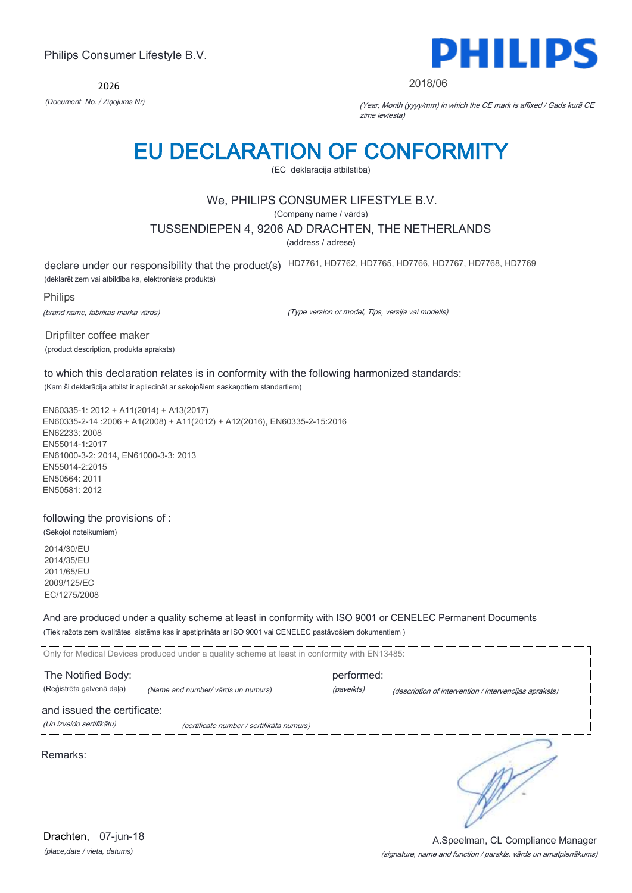2026



#### 2018/06

*(Document No. / Ziņojums Nr)* (Year, Month (yyyy/mm) in which the CE mark is affixed / Gads kurā CE zīme ieviesta)

### EU DECLARATION OF CONFORMITY

(EC deklarācija atbilstība)

#### We, PHILIPS CONSUMER LIFESTYLE B.V.

(Company name / vārds)

#### TUSSENDIEPEN 4, 9206 AD DRACHTEN, THE NETHERLANDS

(address / adrese)

declare under our responsibility that the product(s) HD7761, HD7762, HD7765, HD7766, HD7767, HD7768, HD7769

(deklarēt zem vai atbildība ka, elektronisks produkts)

Philips

(brand name, fabrikas marka vārds)

(Type version or model, Tips, versija vai modelis)

Dripfilter coffee maker (product description, produkta apraksts)

to which this declaration relates is in conformity with the following harmonized standards: (Kam ši deklarācija atbilst ir apliecināt ar sekojošiem saskaņotiem standartiem)

EN60335-1: 2012 + A11(2014) + A13(2017) EN60335-2-14 :2006 + A1(2008) + A11(2012) + A12(2016), EN60335-2-15:2016 EN62233: 2008 EN55014-1:2017 EN61000-3-2: 2014, EN61000-3-3: 2013 EN55014-2:2015 EN50564: 2011 EN50581: 2012

#### following the provisions of :

(Sekojot noteikumiem) 2014/30/EU 2014/35/EU 2011/65/EU 2009/125/EC

EC/1275/2008

And are produced under a quality scheme at least in conformity with ISO 9001 or CENELEC Permanent Documents (Tiek ražots zem kvalitātes sistēma kas ir apstiprināta ar ISO 9001 vai CENELEC pastāvošiem dokumentiem )

|                             | Only for Medical Devices produced under a quality scheme at least in conformity with EN13485: |            |                                                        |
|-----------------------------|-----------------------------------------------------------------------------------------------|------------|--------------------------------------------------------|
| The Notified Body:          |                                                                                               | performed: |                                                        |
| (Reģistrēta galvenā daļa)   | (Name and number/ vārds un numurs)                                                            | (paveikts) | (description of intervention / intervencijas apraksts) |
| and issued the certificate: |                                                                                               |            |                                                        |
| (Un izveido sertifikātu)    | (certificate number / sertifikāta numurs)                                                     |            |                                                        |
| Remarks:                    |                                                                                               |            |                                                        |

*(place,date / vieta, datums)* Drachten, 07-jun-18

#### (signature, name and function / parskts, vārds un amatpienākums) A.Speelman, CL Compliance Manager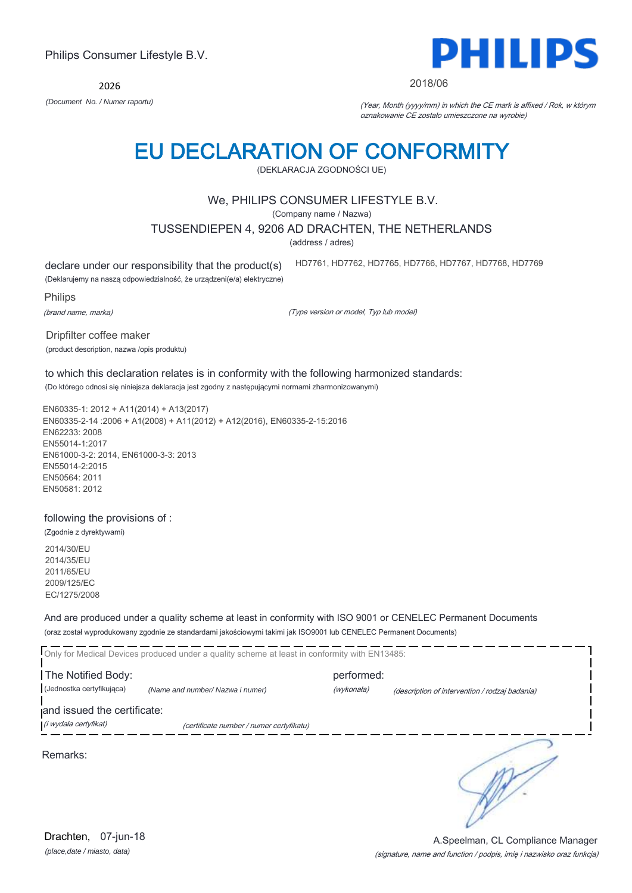2026



#### 2018/06

HD7761, HD7762, HD7765, HD7766, HD7767, HD7768, HD7769

*(Document No. / Numer raportu)* (Year, Month (yyyy/mm) in which the CE mark is affixed / Rok, w którym oznakowanie CE zostało umieszczone na wyrobie)

# EU DECLARATION OF CONFORMITY

(DEKLARACJA ZGODNOŚCI UE)

#### We, PHILIPS CONSUMER LIFESTYLE B.V.

(Company name / Nazwa)

TUSSENDIEPEN 4, 9206 AD DRACHTEN, THE NETHERLANDS

(address / adres)

declare under our responsibility that the product(s)

(Deklarujemy na naszą odpowiedzialność, że urządzeni(e/a) elektryczne)

Philips

(brand name, marka)

(Type version or model, Typ lub model)

Dripfilter coffee maker (product description, nazwa /opis produktu)

to which this declaration relates is in conformity with the following harmonized standards: (Do którego odnosi się niniejsza deklaracja jest zgodny z następującymi normami zharmonizowanymi)

EN60335-1: 2012 + A11(2014) + A13(2017) EN60335-2-14 :2006 + A1(2008) + A11(2012) + A12(2016), EN60335-2-15:2016 EN62233: 2008 EN55014-1:2017 EN61000-3-2: 2014, EN61000-3-3: 2013 EN55014-2:2015 EN50564: 2011 EN50581: 2012

#### following the provisions of :

(Zgodnie z dyrektywami) 2014/30/EU 2014/35/EU 2011/65/EU 2009/125/EC EC/1275/2008

And are produced under a quality scheme at least in conformity with ISO 9001 or CENELEC Permanent Documents (oraz został wyprodukowany zgodnie ze standardami jakościowymi takimi jak ISO9001 lub CENELEC Permanent Documents)

|                             | Only for Medical Devices produced under a quality scheme at least in conformity with EN13485: |            |                                                |
|-----------------------------|-----------------------------------------------------------------------------------------------|------------|------------------------------------------------|
| The Notified Body:          |                                                                                               | performed: |                                                |
| (Jednostka certyfikująca)   | (Name and number/ Nazwa i numer)                                                              | (wykonała) | (description of intervention / rodzaj badania) |
| and issued the certificate: |                                                                                               |            |                                                |
| (i wydała certyfikat)       | (certificate number / numer certyfikatu)                                                      |            |                                                |
| Remarks:                    |                                                                                               |            |                                                |

#### (signature, name and function / podpis, imię i nazwisko oraz funkcja) A.Speelman, CL Compliance Manager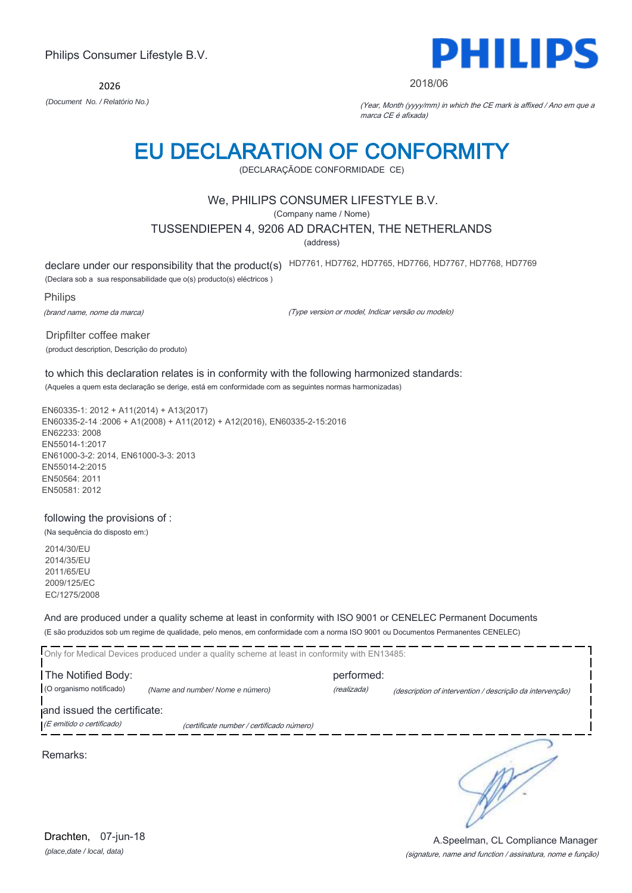2026



#### 2018/06

*(Document No. / Relatório No.)* (Year, Month (yyyy/mm) in which the CE mark is affixed / Ano em que a marca CE é afixada)

## EU DECLARATION OF CONFORMITY

(DECLARAÇÃODE CONFORMIDADE CE)

#### We, PHILIPS CONSUMER LIFESTYLE B.V.

(Company name / Nome)

#### TUSSENDIEPEN 4, 9206 AD DRACHTEN, THE NETHERLANDS

(address)

declare under our responsibility that the product(s) HD7761, HD7762, HD7765, HD7766, HD7767, HD7768, HD7769

(Declara sob a sua responsabilidade que o(s) producto(s) eléctricos )

Philips

(brand name, nome da marca)

(Type version or model, Indicar versão ou modelo)

Dripfilter coffee maker (product description, Descrição do produto)

to which this declaration relates is in conformity with the following harmonized standards: (Aqueles a quem esta declaração se derige, está em conformidade com as seguintes normas harmonizadas)

EN60335-1: 2012 + A11(2014) + A13(2017) EN60335-2-14 :2006 + A1(2008) + A11(2012) + A12(2016), EN60335-2-15:2016 EN62233: 2008 EN55014-1:2017 EN61000-3-2: 2014, EN61000-3-3: 2013 EN55014-2:2015 EN50564: 2011 EN50581: 2012

#### following the provisions of :

(Na sequência do disposto em:) 2014/30/EU

2014/35/EU 2011/65/EU 2009/125/EC EC/1275/2008

And are produced under a quality scheme at least in conformity with ISO 9001 or CENELEC Permanent Documents (E são produzidos sob um regime de qualidade, pelo menos, em conformidade com a norma ISO 9001 ou Documentos Permanentes CENELEC)

|                             | Only for Medical Devices produced under a quality scheme at least in conformity with EN13485: |             |                                                          |
|-----------------------------|-----------------------------------------------------------------------------------------------|-------------|----------------------------------------------------------|
| The Notified Body:          |                                                                                               | performed:  |                                                          |
| (O organismo notificado)    | (Name and number/Nome e número)                                                               | (realizada) | (description of intervention / descrição da intervenção) |
| and issued the certificate: |                                                                                               |             |                                                          |
| (E emitido o certificado)   | (certificate number / certificado número)                                                     |             |                                                          |
|                             |                                                                                               |             |                                                          |

Remarks:

RP.

*(place,date / local, data)* Drachten, 07-jun-18

#### (signature, name and function / assinatura, nome e função) A.Speelman, CL Compliance Manager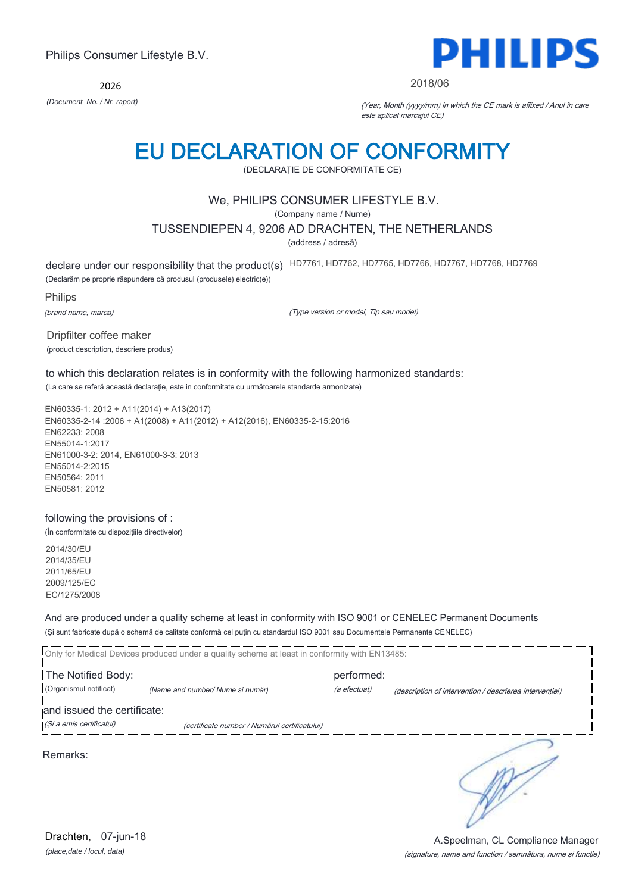2026



#### 2018/06

*(Document No. / Nr. raport)* (Year, Month (yyyy/mm) in which the CE mark is affixed / Anul în care este aplicat marcajul CE)

## EU DECLARATION OF CONFORMITY

(DECLARAŢIE DE CONFORMITATE CE)

#### We, PHILIPS CONSUMER LIFESTYLE B.V.

(Company name / Nume)

#### TUSSENDIEPEN 4, 9206 AD DRACHTEN, THE NETHERLANDS

(address / adresă)

declare under our responsibility that the product(s) HD7761, HD7762, HD7765, HD7766, HD7767, HD7768, HD7769

(Declarăm pe proprie răspundere că produsul (produsele) electric(e))

Philips

(brand name, marca)

(Type version or model, Tip sau model)

Dripfilter coffee maker (product description, descriere produs)

to which this declaration relates is in conformity with the following harmonized standards:

(La care se referă această declaraţie, este in conformitate cu următoarele standarde armonizate)

EN60335-1: 2012 + A11(2014) + A13(2017) EN60335-2-14 :2006 + A1(2008) + A11(2012) + A12(2016), EN60335-2-15:2016 EN62233: 2008 EN55014-1:2017 EN61000-3-2: 2014, EN61000-3-3: 2013 EN55014-2:2015 EN50564: 2011 EN50581: 2012

#### following the provisions of :

(În conformitate cu dispoziţiile directivelor)

2014/30/EU 2014/35/EU 2011/65/EU 2009/125/EC EC/1275/2008

And are produced under a quality scheme at least in conformity with ISO 9001 or CENELEC Permanent Documents (Şi sunt fabricate după o schemă de calitate conformă cel puţin cu standardul ISO 9001 sau Documentele Permanente CENELEC)

| Only for Medical Devices produced under a quality scheme at least in conformity with EN13485:            |                                 |                            |                                                         |  |
|----------------------------------------------------------------------------------------------------------|---------------------------------|----------------------------|---------------------------------------------------------|--|
| The Notified Body:<br>(Organismul notificat)                                                             | (Name and number/Nume si număr) | performed:<br>(a efectuat) | (description of intervention / descrierea interventiei) |  |
| and issued the certificate:<br>(Și a emis certificatul)<br>(certificate number / Numărul certificatului) |                                 |                            |                                                         |  |
|                                                                                                          |                                 |                            |                                                         |  |

Remarks:

A.Speelman, CL Compliance Manager

*(place,date / locul, data)* Drachten, 07-jun-18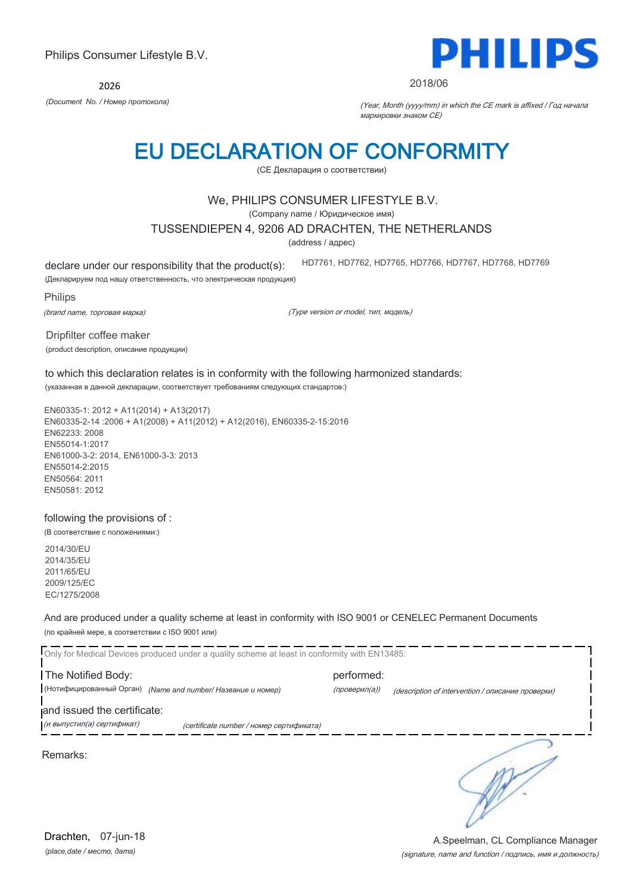2026



#### 2018/06

*(Document No. / Номер протокола)* (Year, Month (yyyy/mm) in which the CE mark is affixed / Год начала маркировки знаком CE)

## EU DECLARATION OF CONFORMITY

(CE Декларация о соответствии)

#### We, PHILIPS CONSUMER LIFESTYLE B.V.

(Company name / Юридическое имя)

#### TUSSENDIEPEN 4, 9206 AD DRACHTEN, THE NETHERLANDS

(address / адрес)

declare under our responsibility that the product(s):

HD7761, HD7762, HD7765, HD7766, HD7767, HD7768, HD7769

(Декларируем под нашу ответственность, что электрическая продукция)

Philips

(brand name, торговая марка)

(Type version or model, тип, модель)

Dripfilter coffee maker (product description, описание продукции)

#### to which this declaration relates is in conformity with the following harmonized standards: (указанная в данной декларации, соответствует требованиям следующих стандартов:)

EN60335-1: 2012 + A11(2014) + A13(2017) EN60335-2-14 :2006 + A1(2008) + A11(2012) + A12(2016), EN60335-2-15:2016 EN62233: 2008 EN55014-1:2017 EN61000-3-2: 2014, EN61000-3-3: 2013 EN55014-2:2015 EN50564: 2011 EN50581: 2012

#### following the provisions of :

(В соответствие с положениями:)

2014/30/EU 2014/35/EU 2011/65/EU 2009/125/EC EC/1275/2008

And are produced under a quality scheme at least in conformity with ISO 9001 or CENELEC Permanent Documents (по крайней мере, в соответствии с ISO 9001 или)

Only for Medical Devices produced under a quality scheme at least in conformity with EN13485: The Notified Body: example and performed: (Нотифицированный Орган) *(Name and number/ Название и номер)* (проверил(а)) (description of intervention / описание проверки) and issued the certificate: (и выпустил(а) сертификат) (certificate number / номер сертификата) ∍ Remarks: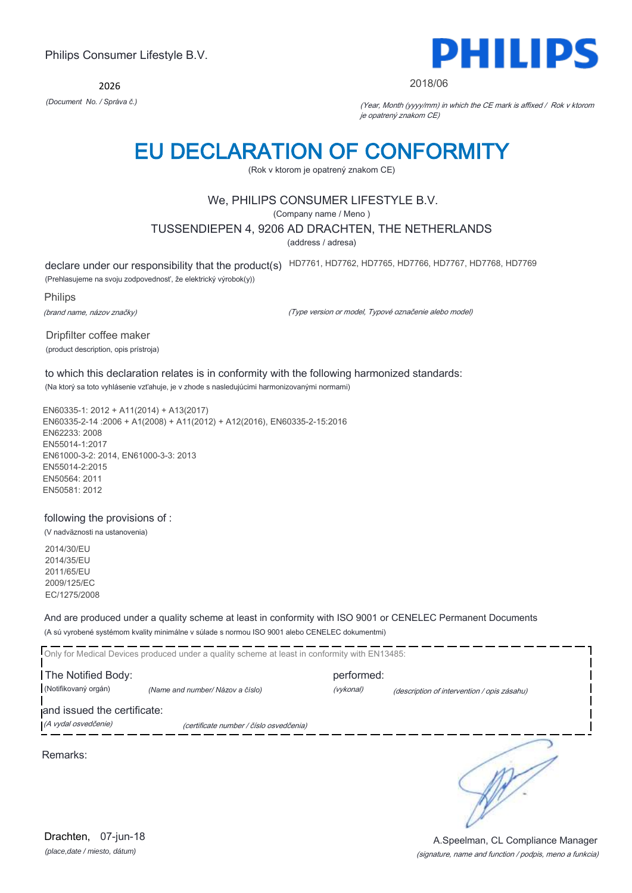2026



#### 2018/06

*(Document No. / Správa č.)* (Year, Month (yyyy/mm) in which the CE mark is affixed / Rok v ktorom je opatrený znakom CE)

## EU DECLARATION OF CONFORMITY

(Rok v ktorom je opatrený znakom CE)

#### We, PHILIPS CONSUMER LIFESTYLE B.V.

(Company name / Meno )

#### TUSSENDIEPEN 4, 9206 AD DRACHTEN, THE NETHERLANDS

(address / adresa)

declare under our responsibility that the product(s) HD7761, HD7762, HD7765, HD7766, HD7767, HD7768, HD7769

(Prehlasujeme na svoju zodpovednosť, že elektrický výrobok(y))

Philips

(brand name, názov značky)

(Type version or model, Typové označenie alebo model)

Dripfilter coffee maker (product description, opis prístroja)

to which this declaration relates is in conformity with the following harmonized standards: (Na ktorý sa toto vyhlásenie vzťahuje, je v zhode s nasledujúcimi harmonizovanými normami)

EN60335-1: 2012 + A11(2014) + A13(2017) EN60335-2-14 :2006 + A1(2008) + A11(2012) + A12(2016), EN60335-2-15:2016 EN62233: 2008 EN55014-1:2017 EN61000-3-2: 2014, EN61000-3-3: 2013 EN55014-2:2015 EN50564: 2011 EN50581: 2012

#### following the provisions of :

(V nadväznosti na ustanovenia) 2014/30/EU

2014/35/EU 2011/65/EU 2009/125/EC EC/1275/2008

And are produced under a quality scheme at least in conformity with ISO 9001 or CENELEC Permanent Documents (A sú vyrobené systémom kvality minimálne v súlade s normou ISO 9001 alebo CENELEC dokumentmi)

Only for Medical Devices produced under a quality scheme at least in conformity with EN13485: The Notified Body: example and the performed: (Notifikovaný orgán) *(Name and number/ Názov a číslo)* (vykonal) (description of intervention / opis zásahu) and issued the certificate: (A vydal osvedčenie) (certificate number / číslo osvedčenia) ∍ Remarks:

*(place,date / miesto, dátum)* Drachten, 07-jun-18

#### (signature, name and function / podpis, meno a funkcia) A.Speelman, CL Compliance Manager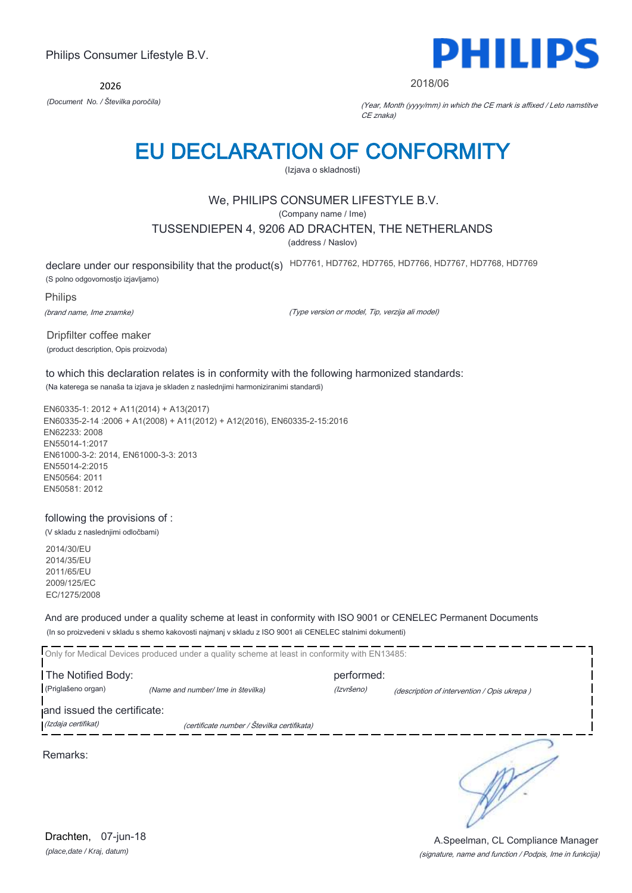2026



2018/06

*(Document No. / Številka poročila)* (Year, Month (yyyy/mm) in which the CE mark is affixed / Leto namstitve CE znaka)

## EU DECLARATION OF CONFORMITY

(Izjava o skladnosti)

### We, PHILIPS CONSUMER LIFESTYLE B.V.

(Company name / Ime)

#### TUSSENDIEPEN 4, 9206 AD DRACHTEN, THE NETHERLANDS

(address / Naslov)

declare under our responsibility that the product(s) HD7761, HD7762, HD7765, HD7766, HD7767, HD7768, HD7769

(S polno odgovornostjo izjavljamo)

Philips

(brand name, Ime znamke)

(Type version or model, Tip, verzija ali model)

Dripfilter coffee maker (product description, Opis proizvoda)

to which this declaration relates is in conformity with the following harmonized standards: (Na katerega se nanaša ta izjava je skladen z naslednjimi harmoniziranimi standardi)

EN60335-1: 2012 + A11(2014) + A13(2017) EN60335-2-14 :2006 + A1(2008) + A11(2012) + A12(2016), EN60335-2-15:2016 EN62233: 2008 EN55014-1:2017 EN61000-3-2: 2014, EN61000-3-3: 2013 EN55014-2:2015 EN50564: 2011 EN50581: 2012

#### following the provisions of :

(V skladu z naslednjimi odločbami)

2014/30/EU 2014/35/EU 2011/65/EU 2009/125/EC EC/1275/2008

And are produced under a quality scheme at least in conformity with ISO 9001 or CENELEC Permanent Documents (In so proizvedeni v skladu s shemo kakovosti najmanj v skladu z ISO 9001 ali CENELEC stalnimi dokumenti)

|                             | Only for Medical Devices produced under a quality scheme at least in conformity with EN13485: |            |                                             |
|-----------------------------|-----------------------------------------------------------------------------------------------|------------|---------------------------------------------|
| The Notified Body:          |                                                                                               | performed: |                                             |
| (Priglašeno organ)          | (Name and number/ Ime in številka)                                                            | (Izvršeno) | (description of intervention / Opis ukrepa) |
| and issued the certificate: |                                                                                               |            |                                             |
| (Izdaja certifikat)         | (certificate number / Številka certifikata)                                                   |            |                                             |
|                             |                                                                                               |            |                                             |

Remarks: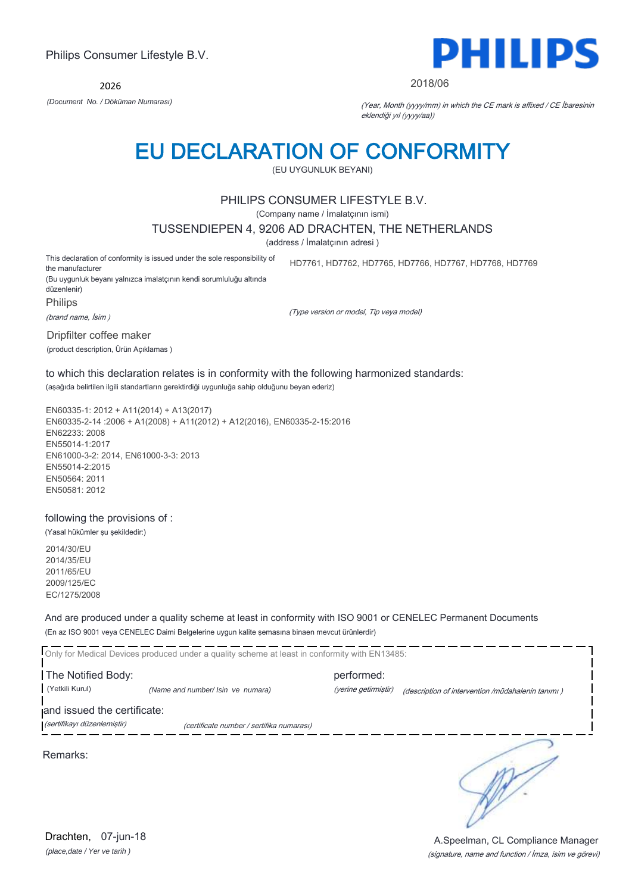2026



#### 2018/06

*(Document No. / Döküman Numarası)* (Year, Month (yyyy/mm) in which the CE mark is affixed / CE İbaresinin eklendiği yıl (yyyy/aa))

### EU DECLARATION OF CONFORMITY

(EU UYGUNLUK BEYANI)

#### PHILIPS CONSUMER LIFESTYLE B.V.

(Company name / İmalatçının ismi)

#### TUSSENDIEPEN 4, 9206 AD DRACHTEN, THE NETHERLANDS

(address / İmalatçının adresi )

This declaration of conformity is issued under the sole responsibility of the manufacturer (Bu uygunluk beyanı yalnızca imalatçının kendi sorumluluğu altında HD7761, HD7762, HD7765, HD7766, HD7767, HD7768, HD7769

düzenlenir) Philips

(brand name, İsim )

(Type version or model, Tip veya model)

Dripfilter coffee maker

(product description, Ürün Açıklamas )

#### to which this declaration relates is in conformity with the following harmonized standards: (aşağıda belirtilen ilgili standartların gerektirdiği uygunluğa sahip olduğunu beyan ederiz)

EN60335-1: 2012 + A11(2014) + A13(2017) EN60335-2-14 :2006 + A1(2008) + A11(2012) + A12(2016), EN60335-2-15:2016 EN62233: 2008 EN55014-1:2017 EN61000-3-2: 2014, EN61000-3-3: 2013 EN55014-2:2015 EN50564: 2011 EN50581: 2012

#### following the provisions of :

(Yasal hükümler şu şekildedir:)

2014/30/EU 2014/35/EU 2011/65/EU 2009/125/EC EC/1275/2008

And are produced under a quality scheme at least in conformity with ISO 9001 or CENELEC Permanent Documents (En az ISO 9001 veya CENELEC Daimi Belgelerine uygun kalite şemasına binaen mevcut ürünlerdir)

Only for Medical Devices produced under a quality scheme at least in conformity with EN13485: The Notified Body: performed: (Yetkili Kurul) *(Name and number/ Isin ve numara)* (yerine getirmiştir) (description of intervention /müdahalenin tanımı )

and issued the certificate:

(sertifikayı düzenlemiştir) (certificate number / sertifika numarası)

Remarks:

*(place,date / Yer ve tarih )* Drachten, 07-jun-18

∋

(signature, name and function / İmza, isim ve görevi) A.Speelman, CL Compliance Manager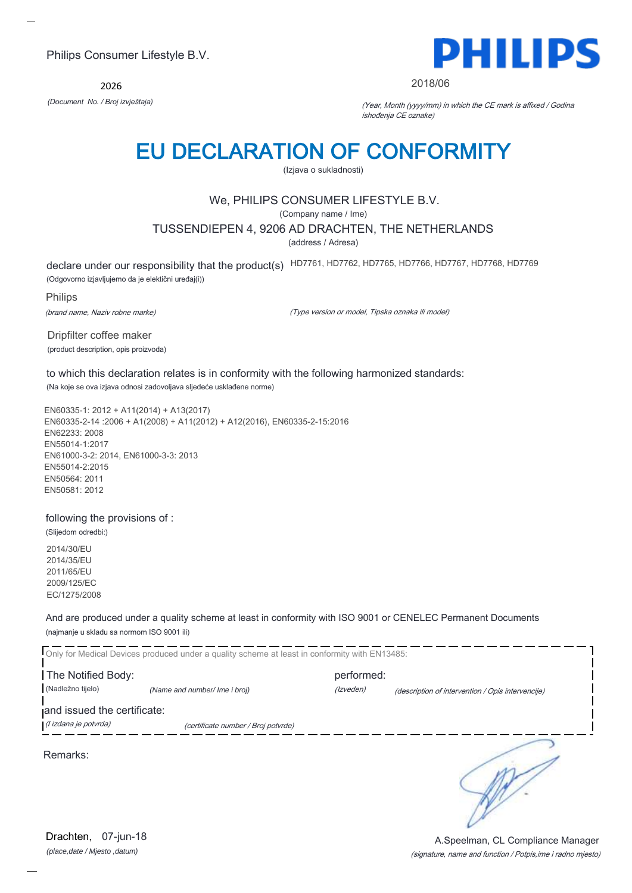2026



#### 2018/06

*(Document No. / Broj izvještaja)* (Year, Month (yyyy/mm) in which the CE mark is affixed / Godina ishođenja CE oznake)

## EU DECLARATION OF CONFORMITY

(Izjava o sukladnosti)

#### We, PHILIPS CONSUMER LIFESTYLE B.V.

(Company name / Ime)

#### TUSSENDIEPEN 4, 9206 AD DRACHTEN, THE NETHERLANDS

(address / Adresa)

declare under our responsibility that the product(s) HD7761, HD7762, HD7765, HD7766, HD7767, HD7768, HD7769

(Odgovorno izjavljujemo da je elektični uređaj(i))

Philips

(brand name, Naziv robne marke)

(Type version or model, Tipska oznaka ili model)

Dripfilter coffee maker (product description, opis proizvoda)

to which this declaration relates is in conformity with the following harmonized standards: (Na koje se ova izjava odnosi zadovoljava sljedeće usklađene norme)

EN60335-1: 2012 + A11(2014) + A13(2017) EN60335-2-14 :2006 + A1(2008) + A11(2012) + A12(2016), EN60335-2-15:2016 EN62233: 2008 EN55014-1:2017 EN61000-3-2: 2014, EN61000-3-3: 2013 EN55014-2:2015 EN50564: 2011 EN50581: 2012

#### following the provisions of :

(Slijedom odredbi:) 2014/30/EU 2014/35/EU 2011/65/EU 2009/125/EC EC/1275/2008

And are produced under a quality scheme at least in conformity with ISO 9001 or CENELEC Permanent Documents (najmanje u skladu sa normom ISO 9001 ili)

|                                                      | Only for Medical Devices produced under a quality scheme at least in conformity with EN13485: |            |                                                   |
|------------------------------------------------------|-----------------------------------------------------------------------------------------------|------------|---------------------------------------------------|
| The Notified Body:                                   |                                                                                               | performed: |                                                   |
| (Nadležno tijelo)                                    | (Name and number/ Ime i broj)                                                                 | (Izveden)  | (description of intervention / Opis intervencije) |
| and issued the certificate:<br>(l izdana je potvrda) | (certificate number / Broj potvrde)                                                           |            |                                                   |
| Remarks:                                             |                                                                                               |            |                                                   |

(signature, name and function / Potpis,ime i radno mjesto) A.Speelman, CL Compliance Manager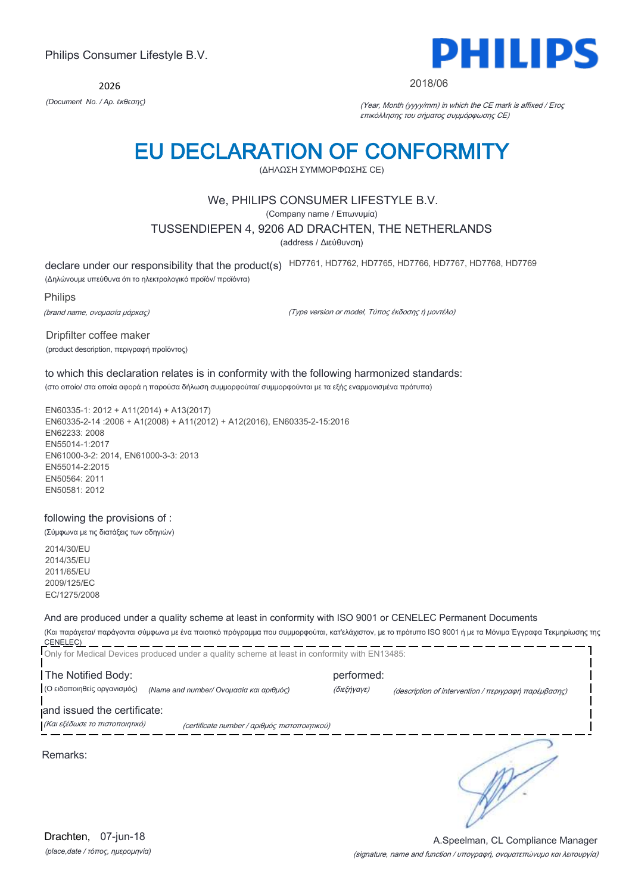2026



#### 2018/06

*(Document No. / Αρ. έκθεσης)* (Year, Month (yyyy/mm) in which the CE mark is affixed / Έτος επικόλλησης του σήματος συμμόρφωσης CE)

## EU DECLARATION OF CONFORMITY

(ΔΗΛΩΣΗ ΣΥΜΜΟΡΦΩΣΗΣ CE)

#### We, PHILIPS CONSUMER LIFESTYLE B.V.

(Company name / Επωνυμία)

#### TUSSENDIEPEN 4, 9206 AD DRACHTEN, THE NETHERLANDS

(address / Διεύθυνση)

declare under our responsibility that the product(s) HD7761, HD7762, HD7765, HD7766, HD7767, HD7768, HD7769

(Δηλώνουμε υπεύθυνα ότι το ηλεκτρολογικό προϊόν/ προϊόντα)

Philips

(brand name, ονομασία μάρκας)

(Type version or model, Τύπος έκδοσης ή μοντέλο)

Dripfilter coffee maker (product description, περιγραφή προϊόντος)

### to which this declaration relates is in conformity with the following harmonized standards:

(στο οποίο/ στα οποία αφορά η παρούσα δήλωση συμμορφούται/ συμμορφούνται με τα εξής εναρμονισμένα πρότυπα)

EN60335-1: 2012 + A11(2014) + A13(2017) EN60335-2-14 :2006 + A1(2008) + A11(2012) + A12(2016), EN60335-2-15:2016 EN62233: 2008 EN55014-1:2017 EN61000-3-2: 2014, EN61000-3-3: 2013 EN55014-2:2015 EN50564: 2011 EN50581: 2012

#### following the provisions of :

(Σύμφωνα με τις διατάξεις των οδηγιών)

2014/30/EU 2014/35/EU 2011/65/EU 2009/125/EC EC/1275/2008

#### And are produced under a quality scheme at least in conformity with ISO 9001 or CENELEC Permanent Documents

(Και παράγεται/ παράγονται σύμφωνα με ένα ποιοτικό πρόγραμμα που συμμορφούται, κατ'ελάχιστον, με το πρότυπο ISO 9001 ή με τα Μόνιμα Έγγραφα Τεκμηρίωσης της CENELEC)

|                                                               | Only for Medical Devices produced under a quality scheme at least in conformity with EN13485: |                           |                                                                                                                                                    |
|---------------------------------------------------------------|-----------------------------------------------------------------------------------------------|---------------------------|----------------------------------------------------------------------------------------------------------------------------------------------------|
| The Notified Body:<br>(Ο ειδοποιηθείς οργανισμός)             | (Name and number/ Ονομασία και αριθμός)                                                       | performed:<br>(διεξήγαγε) | (description of intervention / $\pi \epsilon \rho \gamma \rho \alpha \varphi \eta$ $\pi \alpha \rho \epsilon \mu \beta \alpha \sigma \eta \zeta$ ) |
| and issued the certificate:<br>(Και εξέδωσε το πιστοποιητικό) | (certificate number / αριθμός πιστοποιητικού)                                                 |                           |                                                                                                                                                    |
| Remarks:                                                      |                                                                                               |                           |                                                                                                                                                    |
|                                                               |                                                                                               |                           |                                                                                                                                                    |

*(place,date / τόπος, ημερομηνία)* Drachten, 07-jun-18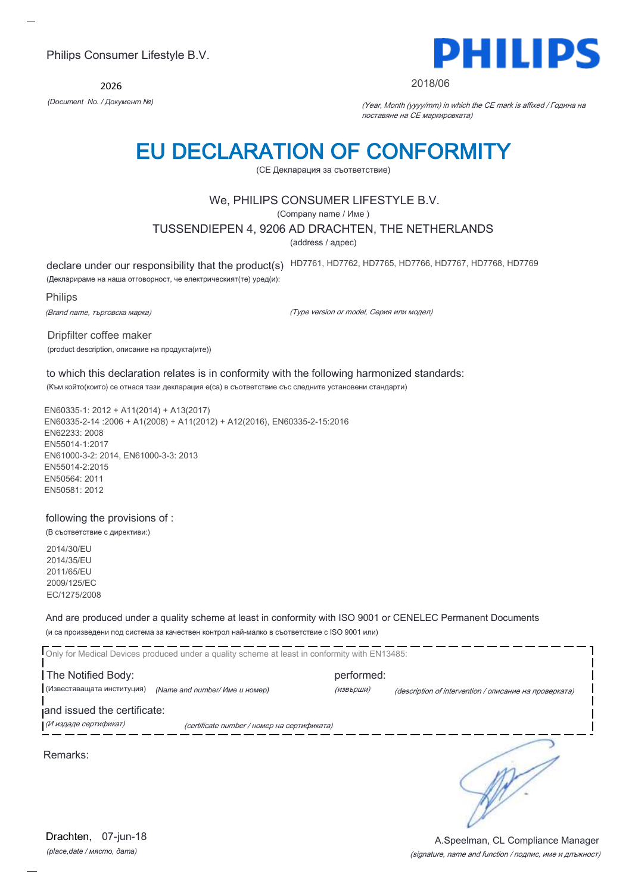2026



#### 2018/06

*(Document No. / Документ №)* (Year, Month (yyyy/mm) in which the CE mark is affixed / Година на поставяне на CE маркировката)

## EU DECLARATION OF CONFORMITY

(CE Декларация за съответствие)

#### We, PHILIPS CONSUMER LIFESTYLE B.V.

(Company name / Име )

TUSSENDIEPEN 4, 9206 AD DRACHTEN, THE NETHERLANDS

(address / адрес)

declare under our responsibility that the product(s) HD7761, HD7762, HD7765, HD7766, HD7767, HD7768, HD7769

(Декларираме на наша отговорност, че електрическият(те) уред(и):

Philips

(Brand name, търговска марка)

(Type version or model, Серия или модел)

Dripfilter coffee maker (product description, описание на продукта(ите))

#### to which this declaration relates is in conformity with the following harmonized standards:

(Към който(които) се отнася тази декларация е(са) в съответствие със следните установени стандарти)

EN60335-1: 2012 + A11(2014) + A13(2017) EN60335-2-14 :2006 + A1(2008) + A11(2012) + A12(2016), EN60335-2-15:2016 EN62233: 2008 EN55014-1:2017 EN61000-3-2: 2014, EN61000-3-3: 2013 EN55014-2:2015 EN50564: 2011 EN50581: 2012

#### following the provisions of :

(В съответствие с директиви:)

2014/30/EU 2014/35/EU 2011/65/EU 2009/125/EC EC/1275/2008

And are produced under a quality scheme at least in conformity with ISO 9001 or CENELEC Permanent Documents (и са произведени под система за качествен контрол най-малко в съответствие с ISO 9001 или)

|                                                  | Only for Medical Devices produced under a quality scheme at least in conformity with EN13485: |                         |                                                        |
|--------------------------------------------------|-----------------------------------------------------------------------------------------------|-------------------------|--------------------------------------------------------|
| The Notified Body:<br>(Известяващата институция) | (Name and number/ Име и номер)                                                                | performed:<br>(извърши) |                                                        |
| and issued the certificate:                      |                                                                                               |                         | (description of intervention / описание на проверката) |
| (И издаде сертификат)                            | (certificate number / номер на сертификата)                                                   |                         |                                                        |
| Remarks:                                         |                                                                                               |                         |                                                        |

(signature, name and function / подпис, име и длъжност) A.Speelman, CL Compliance Manager

*(place,date / място, дата)* Drachten, 07-jun-18